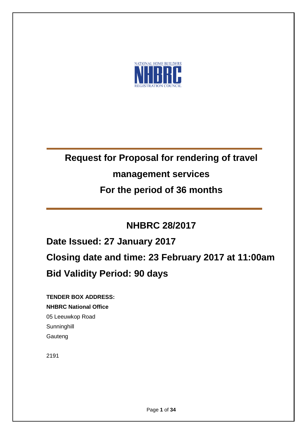

# **Request for Proposal for rendering of travel**

# **management services**

# **For the period of 36 months**

# **NHBRC 28/2017**

**Date Issued: 27 January 2017 Closing date and time: 23 February 2017 at 11:00am Bid Validity Period: 90 days**

**TENDER BOX ADDRESS: NHBRC National Office** 05 Leeuwkop Road **Sunninghill** Gauteng

2191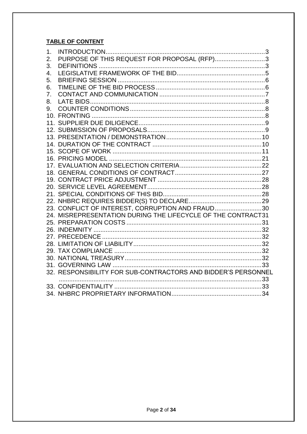# **TABLE OF CONTENT**

| 1. |                                                               |  |
|----|---------------------------------------------------------------|--|
| 2. | PURPOSE OF THIS REQUEST FOR PROPOSAL (RFP)3                   |  |
| 3. |                                                               |  |
| 4. |                                                               |  |
| 5. |                                                               |  |
| 6. |                                                               |  |
| 7. |                                                               |  |
| 8. |                                                               |  |
| 9. |                                                               |  |
|    |                                                               |  |
|    |                                                               |  |
|    |                                                               |  |
|    |                                                               |  |
|    |                                                               |  |
|    |                                                               |  |
|    |                                                               |  |
|    |                                                               |  |
|    |                                                               |  |
|    |                                                               |  |
|    |                                                               |  |
|    |                                                               |  |
|    |                                                               |  |
|    | 23. CONFLICT OF INTEREST, CORRUPTION AND FRAUD30              |  |
|    | 24. MISREPRESENTATION DURING THE LIFECYCLE OF THE CONTRACT31  |  |
|    |                                                               |  |
|    |                                                               |  |
|    |                                                               |  |
|    |                                                               |  |
|    |                                                               |  |
|    |                                                               |  |
|    |                                                               |  |
|    | 32. RESPONSIBILITY FOR SUB-CONTRACTORS AND BIDDER'S PERSONNEL |  |
|    |                                                               |  |
|    |                                                               |  |
|    |                                                               |  |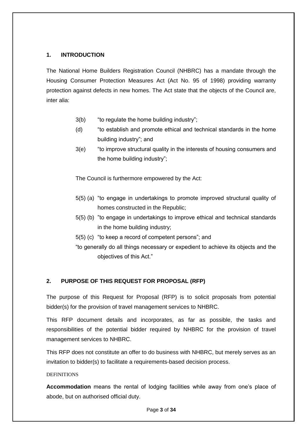# <span id="page-2-0"></span>**1. INTRODUCTION**

The National Home Builders Registration Council (NHBRC) has a mandate through the Housing Consumer Protection Measures Act (Act No. 95 of 1998) providing warranty protection against defects in new homes. The Act state that the objects of the Council are, inter alia:

- 3(b) "to regulate the home building industry";
- (d) "to establish and promote ethical and technical standards in the home building industry"; and
- 3(e) "to improve structural quality in the interests of housing consumers and the home building industry";

The Council is furthermore empowered by the Act:

- 5(5) (a) "to engage in undertakings to promote improved structural quality of homes constructed in the Republic;
- 5(5) (b) "to engage in undertakings to improve ethical and technical standards in the home building industry;
- 5(5) (c) "to keep a record of competent persons"; and
- "to generally do all things necessary or expedient to achieve its objects and the objectives of this Act."

# <span id="page-2-1"></span>**2. PURPOSE OF THIS REQUEST FOR PROPOSAL (RFP)**

The purpose of this Request for Proposal (RFP) is to solicit proposals from potential bidder(s) for the provision of travel management services to NHBRC.

This RFP document details and incorporates, as far as possible, the tasks and responsibilities of the potential bidder required by NHBRC for the provision of travel management services to NHBRC.

<span id="page-2-2"></span>This RFP does not constitute an offer to do business with NHBRC, but merely serves as an invitation to bidder(s) to facilitate a requirements-based decision process.

## **DEFINITIONS**

**Accommodation** means the rental of lodging facilities while away from one's place of abode, but on authorised official duty.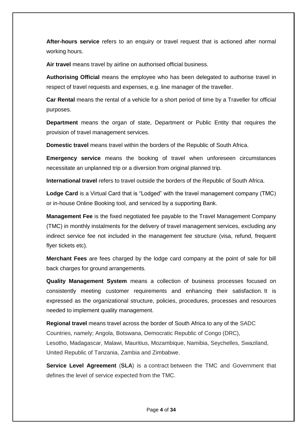**After-hours service** refers to an enquiry or travel request that is actioned after normal working hours.

**Air travel** means travel by airline on authorised official business.

**Authorising Official** means the employee who has been delegated to authorise travel in respect of travel requests and expenses, e.g. line manager of the traveller.

**Car Rental** means the rental of a vehicle for a short period of time by a Traveller for official purposes.

**Department** means the organ of state, Department or Public Entity that requires the provision of travel management services.

**Domestic travel** means travel within the borders of the Republic of South Africa.

**Emergency service** means the booking of travel when unforeseen circumstances necessitate an unplanned trip or a diversion from original planned trip.

**International travel** refers to travel outside the borders of the Republic of South Africa.

**Lodge Card** is a Virtual Card that is "Lodged" with the travel management company (TMC) or in-house Online Booking tool, and serviced by a supporting Bank.

**Management Fee** is the fixed negotiated fee payable to the Travel Management Company (TMC) in monthly instalments for the delivery of travel management services, excluding any indirect service fee not included in the management fee structure (visa, refund, frequent flyer tickets etc).

**Merchant Fees** are fees charged by the lodge card company at the point of sale for bill back charges for ground arrangements.

**Quality Management System** means a collection of business processes focused on consistently meeting customer requirements and enhancing their satisfaction. It is expressed as the organizational structure, policies, procedures, processes and resources needed to implement [quality management.](https://en.wikipedia.org/wiki/Quality_management)

**Regional travel** means travel across the border of South Africa to any of the SADC Countries, namely; Angola, Botswana, Democratic Republic of Congo (DRC), Lesotho, Madagascar, Malawi, Mauritius, Mozambique, Namibia, Seychelles, Swaziland, United Republic of Tanzania, Zambia and Zimbabwe.

**Service Level Agreement** (**SLA**) is a contract between the TMC and Government that defines the level of service expected from the TMC.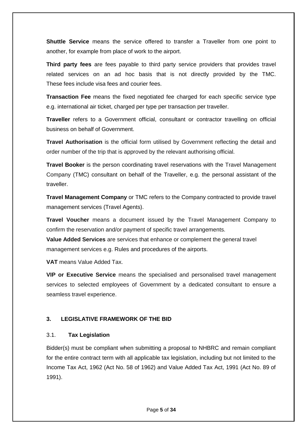**Shuttle Service** means the service offered to transfer a Traveller from one point to another, for example from place of work to the airport.

**Third party fees** are fees payable to third party service providers that provides travel related services on an ad hoc basis that is not directly provided by the TMC. These fees include visa fees and courier fees.

**Transaction Fee** means the fixed negotiated fee charged for each specific service type e.g. international air ticket, charged per type per transaction per traveller.

**Traveller** refers to a Government official, consultant or contractor travelling on official business on behalf of Government.

**Travel Authorisation** is the official form utilised by Government reflecting the detail and order number of the trip that is approved by the relevant authorising official.

**Travel Booker** is the person coordinating travel reservations with the Travel Management Company (TMC) consultant on behalf of the Traveller, e.g. the personal assistant of the traveller.

**Travel Management Company** or TMC refers to the Company contracted to provide travel management services (Travel Agents).

**Travel Voucher** means a document issued by the Travel Management Company to confirm the reservation and/or payment of specific travel arrangements.

**Value Added Services** are services that enhance or complement the general travel management services e.g. Rules and procedures of the airports.

**VAT** means Value Added Tax.

**VIP or Executive Service** means the specialised and personalised travel management services to selected employees of Government by a dedicated consultant to ensure a seamless travel experience.

## <span id="page-4-0"></span>**3. LEGISLATIVE FRAMEWORK OF THE BID**

## 3.1. **Tax Legislation**

Bidder(s) must be compliant when submitting a proposal to NHBRC and remain compliant for the entire contract term with all applicable tax legislation, including but not limited to the Income Tax Act, 1962 (Act No. 58 of 1962) and Value Added Tax Act, 1991 (Act No. 89 of 1991).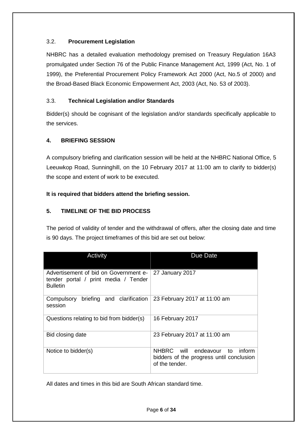# 3.2. **Procurement Legislation**

NHBRC has a detailed evaluation methodology premised on Treasury Regulation 16A3 promulgated under Section 76 of the Public Finance Management Act, 1999 (Act, No. 1 of 1999), the Preferential Procurement Policy Framework Act 2000 (Act, No.5 of 2000) and the Broad-Based Black Economic Empowerment Act, 2003 (Act, No. 53 of 2003).

# 3.3. **Technical Legislation and/or Standards**

Bidder(s) should be cognisant of the legislation and/or standards specifically applicable to the services.

# <span id="page-5-0"></span>**4. BRIEFING SESSION**

A compulsory briefing and clarification session will be held at the NHBRC National Office, 5 Leeuwkop Road, Sunninghill, on the 10 February 2017 at 11:00 am to clarify to bidder(s) the scope and extent of work to be executed.

# **It is required that bidders attend the briefing session.**

# <span id="page-5-1"></span>**5. TIMELINE OF THE BID PROCESS**

The period of validity of tender and the withdrawal of offers, after the closing date and time is 90 days. The project timeframes of this bid are set out below:

| Activity                                                                                         | Due Date                                                                                        |
|--------------------------------------------------------------------------------------------------|-------------------------------------------------------------------------------------------------|
| Advertisement of bid on Government e-<br>tender portal / print media / Tender<br><b>Bulletin</b> | 27 January 2017                                                                                 |
| Compulsory briefing and clarification<br>session                                                 | 23 February 2017 at 11:00 am                                                                    |
| Questions relating to bid from bidder(s)                                                         | 16 February 2017                                                                                |
| Bid closing date                                                                                 | 23 February 2017 at 11:00 am                                                                    |
| Notice to bidder(s)                                                                              | NHBRC will endeavour to<br>inform<br>bidders of the progress until conclusion<br>of the tender. |

All dates and times in this bid are South African standard time.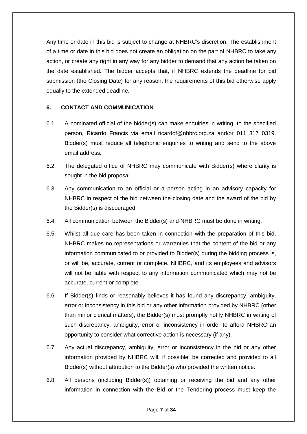Any time or date in this bid is subject to change at NHBRC's discretion. The establishment of a time or date in this bid does not create an obligation on the part of NHBRC to take any action, or create any right in any way for any bidder to demand that any action be taken on the date established. The bidder accepts that, if NHBRC extends the deadline for bid submission (the Closing Date) for any reason, the requirements of this bid otherwise apply equally to the extended deadline.

## <span id="page-6-0"></span>**6. CONTACT AND COMMUNICATION**

- 6.1. A nominated official of the bidder(s) can make enquiries in writing, to the specified person, Ricardo Francis via email ricardof@nhbrc.org.za and/or 011 317 0319. Bidder(s) must reduce all telephonic enquiries to writing and send to the above email address.
- 6.2. The delegated office of NHBRC may communicate with Bidder(s) where clarity is sought in the bid proposal.
- 6.3. Any communication to an official or a person acting in an advisory capacity for NHBRC in respect of the bid between the closing date and the award of the bid by the Bidder(s) is discouraged.
- 6.4. All communication between the Bidder(s) and NHBRC must be done in writing.
- 6.5. Whilst all due care has been taken in connection with the preparation of this bid, NHBRC makes no representations or warranties that the content of the bid or any information communicated to or provided to Bidder(s) during the bidding process is, or will be, accurate, current or complete. NHBRC, and its employees and advisors will not be liable with respect to any information communicated which may not be accurate, current or complete.
- 6.6. If Bidder(s) finds or reasonably believes it has found any discrepancy, ambiguity, error or inconsistency in this bid or any other information provided by NHBRC (other than minor clerical matters), the Bidder(s) must promptly notify NHBRC in writing of such discrepancy, ambiguity, error or inconsistency in order to afford NHBRC an opportunity to consider what corrective action is necessary (if any).
- 6.7. Any actual discrepancy, ambiguity, error or inconsistency in the bid or any other information provided by NHBRC will, if possible, be corrected and provided to all Bidder(s) without attribution to the Bidder(s) who provided the written notice.
- 6.8. All persons (including Bidder(s)) obtaining or receiving the bid and any other information in connection with the Bid or the Tendering process must keep the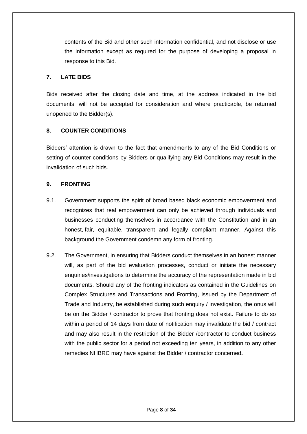contents of the Bid and other such information confidential, and not disclose or use the information except as required for the purpose of developing a proposal in response to this Bid.

## <span id="page-7-0"></span>**7. LATE BIDS**

Bids received after the closing date and time, at the address indicated in the bid documents, will not be accepted for consideration and where practicable, be returned unopened to the Bidder(s).

# <span id="page-7-1"></span>**8. COUNTER CONDITIONS**

Bidders' attention is drawn to the fact that amendments to any of the Bid Conditions or setting of counter conditions by Bidders or qualifying any Bid Conditions may result in the invalidation of such bids.

## <span id="page-7-2"></span>**9. FRONTING**

- 9.1. Government supports the spirit of broad based black economic empowerment and recognizes that real empowerment can only be achieved through individuals and businesses conducting themselves in accordance with the Constitution and in an honest, fair, equitable, transparent and legally compliant manner. Against this background the Government condemn any form of fronting.
- 9.2. The Government, in ensuring that Bidders conduct themselves in an honest manner will, as part of the bid evaluation processes, conduct or initiate the necessary enquiries/investigations to determine the accuracy of the representation made in bid documents. Should any of the fronting indicators as contained in the Guidelines on Complex Structures and Transactions and Fronting, issued by the Department of Trade and Industry, be established during such enquiry / investigation, the onus will be on the Bidder / contractor to prove that fronting does not exist. Failure to do so within a period of 14 days from date of notification may invalidate the bid / contract and may also result in the restriction of the Bidder /contractor to conduct business with the public sector for a period not exceeding ten years, in addition to any other remedies NHBRC may have against the Bidder / contractor concerned**.**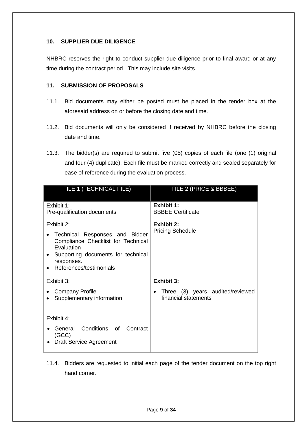# <span id="page-8-0"></span>**10. SUPPLIER DUE DILIGENCE**

NHBRC reserves the right to conduct supplier due diligence prior to final award or at any time during the contract period. This may include site visits.

# <span id="page-8-1"></span>**11. SUBMISSION OF PROPOSALS**

- 11.1. Bid documents may either be posted must be placed in the tender box at the aforesaid address on or before the closing date and time.
- 11.2. Bid documents will only be considered if received by NHBRC before the closing date and time.
- 11.3. The bidder(s) are required to submit five (05) copies of each file (one (1) original and four (4) duplicate). Each file must be marked correctly and sealed separately for ease of reference during the evaluation process.

| FILE 1 (TECHNICAL FILE)                                                                                                                                                         | FILE 2 (PRICE & BBBEE)                                   |
|---------------------------------------------------------------------------------------------------------------------------------------------------------------------------------|----------------------------------------------------------|
| Exhibit 1:<br>Pre-qualification documents                                                                                                                                       | <b>Exhibit 1:</b><br><b>BBBEE Certificate</b>            |
| Exhibit 2:<br>Technical Responses and Bidder<br>Compliance Checklist for Technical<br>Evaluation<br>Supporting documents for technical<br>responses.<br>References/testimonials | <b>Exhibit 2:</b><br><b>Pricing Schedule</b>             |
| Exhibit 3:                                                                                                                                                                      | <b>Exhibit 3:</b>                                        |
| <b>Company Profile</b><br>Supplementary information                                                                                                                             | Three (3) years audited/reviewed<br>financial statements |
| Exhibit 4:                                                                                                                                                                      |                                                          |
| General Conditions of Contract<br>(GCC)<br><b>Draft Service Agreement</b>                                                                                                       |                                                          |

11.4. Bidders are requested to initial each page of the tender document on the top right hand corner.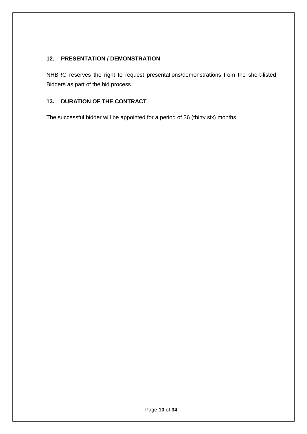# <span id="page-9-0"></span>**12. PRESENTATION / DEMONSTRATION**

NHBRC reserves the right to request presentations/demonstrations from the short-listed Bidders as part of the bid process.

# <span id="page-9-1"></span>**13. DURATION OF THE CONTRACT**

The successful bidder will be appointed for a period of 36 (thirty six) months.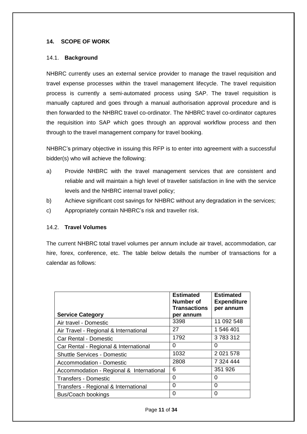## <span id="page-10-0"></span>**14. SCOPE OF WORK**

#### 14.1. **Background**

NHBRC currently uses an external service provider to manage the travel requisition and travel expense processes within the travel management lifecycle. The travel requisition process is currently a semi-automated process using SAP. The travel requisition is manually captured and goes through a manual authorisation approval procedure and is then forwarded to the NHBRC travel co-ordinator. The NHBRC travel co-ordinator captures the requisition into SAP which goes through an approval workflow process and then through to the travel management company for travel booking.

NHBRC's primary objective in issuing this RFP is to enter into agreement with a successful bidder(s) who will achieve the following:

- a) Provide NHBRC with the travel management services that are consistent and reliable and will maintain a high level of traveller satisfaction in line with the service levels and the NHBRC internal travel policy;
- b) Achieve significant cost savings for NHBRC without any degradation in the services;
- c) Appropriately contain NHBRC's risk and traveller risk.

#### 14.2. **Travel Volumes**

The current NHBRC total travel volumes per annum include air travel, accommodation, car hire, forex, conference, etc. The table below details the number of transactions for a calendar as follows:

| <b>Service Category</b>                  | <b>Estimated</b><br>Number of<br><b>Transactions</b><br>per annum | <b>Estimated</b><br><b>Expenditure</b><br>per annum |
|------------------------------------------|-------------------------------------------------------------------|-----------------------------------------------------|
| Air travel - Domestic                    | 3398                                                              | 11 092 548                                          |
| Air Travel - Regional & International    | 27                                                                | 1 546 401                                           |
| <b>Car Rental - Domestic</b>             | 1792                                                              | 3783312                                             |
| Car Rental - Regional & International    | 0                                                                 | 0                                                   |
| <b>Shuttle Services - Domestic</b>       | 1032                                                              | 2 0 21 5 78                                         |
| Accommodation - Domestic                 | 2808                                                              | 7 324 444                                           |
| Accommodation - Regional & International | 6                                                                 | 351 926                                             |
| <b>Transfers - Domestic</b>              | 0                                                                 | 0                                                   |
| Transfers - Regional & International     | 0                                                                 | 0                                                   |
| <b>Bus/Coach bookings</b>                | O                                                                 | 0                                                   |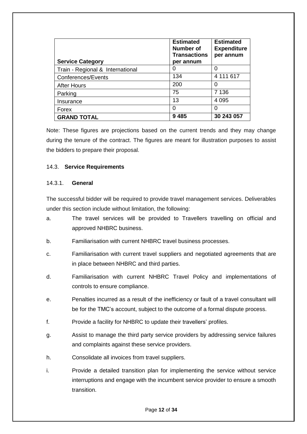| <b>Service Category</b>          | <b>Estimated</b><br><b>Number of</b><br><b>Transactions</b><br>per annum | <b>Estimated</b><br><b>Expenditure</b><br>per annum |
|----------------------------------|--------------------------------------------------------------------------|-----------------------------------------------------|
| Train - Regional & International | O                                                                        | O                                                   |
| Conferences/Events               | 134                                                                      | 4 111 617                                           |
| <b>After Hours</b>               | 200                                                                      | O                                                   |
| Parking                          | 75                                                                       | 7 1 3 6                                             |
| Insurance                        | 13                                                                       | 4 0 9 5                                             |
| Forex                            | 0                                                                        | 0                                                   |
| <b>GRAND TOTAL</b>               | 9485                                                                     | 30 243 057                                          |

Note: These figures are projections based on the current trends and they may change during the tenure of the contract. The figures are meant for illustration purposes to assist the bidders to prepare their proposal.

## 14.3. **Service Requirements**

## 14.3.1. **General**

The successful bidder will be required to provide travel management services. Deliverables under this section include without limitation, the following:

- a. The travel services will be provided to Travellers travelling on official and approved NHBRC business.
- b. Familiarisation with current NHBRC travel business processes.
- c. Familiarisation with current travel suppliers and negotiated agreements that are in place between NHBRC and third parties.
- d. Familiarisation with current NHBRC Travel Policy and implementations of controls to ensure compliance.
- e. Penalties incurred as a result of the inefficiency or fault of a travel consultant will be for the TMC's account, subject to the outcome of a formal dispute process.
- f. Provide a facility for NHBRC to update their travellers' profiles.
- g. Assist to manage the third party service providers by addressing service failures and complaints against these service providers.
- h. Consolidate all invoices from travel suppliers.
- i. Provide a detailed transition plan for implementing the service without service interruptions and engage with the incumbent service provider to ensure a smooth transition.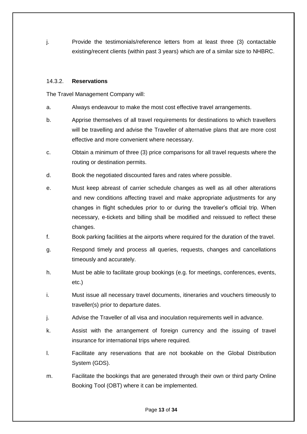j. Provide the testimonials/reference letters from at least three (3) contactable existing/recent clients (within past 3 years) which are of a similar size to NHBRC.

### 14.3.2. **Reservations**

The Travel Management Company will:

- a. Always endeavour to make the most cost effective travel arrangements.
- b. Apprise themselves of all travel requirements for destinations to which travellers will be travelling and advise the Traveller of alternative plans that are more cost effective and more convenient where necessary.
- c. Obtain a minimum of three (3) price comparisons for all travel requests where the routing or destination permits.
- d. Book the negotiated discounted fares and rates where possible.
- e. Must keep abreast of carrier schedule changes as well as all other alterations and new conditions affecting travel and make appropriate adjustments for any changes in flight schedules prior to or during the traveller's official trip. When necessary, e-tickets and billing shall be modified and reissued to reflect these changes.
- f. Book parking facilities at the airports where required for the duration of the travel.
- g. Respond timely and process all queries, requests, changes and cancellations timeously and accurately.
- h. Must be able to facilitate group bookings (e.g. for meetings, conferences, events, etc.)
- i. Must issue all necessary travel documents, itineraries and vouchers timeously to traveller(s) prior to departure dates.
- j. Advise the Traveller of all visa and inoculation requirements well in advance.
- k. Assist with the arrangement of foreign currency and the issuing of travel insurance for international trips where required.
- l. Facilitate any reservations that are not bookable on the Global Distribution System (GDS).
- m. Facilitate the bookings that are generated through their own or third party Online Booking Tool (OBT) where it can be implemented.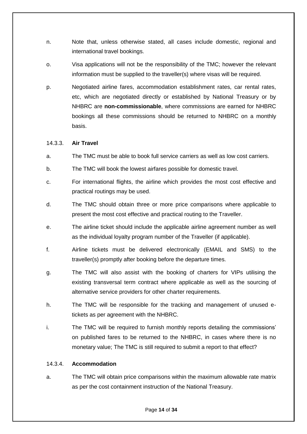- n. Note that, unless otherwise stated, all cases include domestic, regional and international travel bookings.
- o. Visa applications will not be the responsibility of the TMC; however the relevant information must be supplied to the traveller(s) where visas will be required.
- p. Negotiated airline fares, accommodation establishment rates, car rental rates, etc, which are negotiated directly or established by National Treasury or by NHBRC are **non-commissionable**, where commissions are earned for NHBRC bookings all these commissions should be returned to NHBRC on a monthly basis.

## 14.3.3. **Air Travel**

- a. The TMC must be able to book full service carriers as well as low cost carriers.
- b. The TMC will book the lowest airfares possible for domestic travel.
- c. For international flights, the airline which provides the most cost effective and practical routings may be used.
- d. The TMC should obtain three or more price comparisons where applicable to present the most cost effective and practical routing to the Traveller.
- e. The airline ticket should include the applicable airline agreement number as well as the individual loyalty program number of the Traveller (if applicable).
- f. Airline tickets must be delivered electronically (EMAIL and SMS) to the traveller(s) promptly after booking before the departure times.
- g. The TMC will also assist with the booking of charters for VIPs utilising the existing transversal term contract where applicable as well as the sourcing of alternative service providers for other charter requirements.
- h. The TMC will be responsible for the tracking and management of unused etickets as per agreement with the NHBRC.
- i. The TMC will be required to furnish monthly reports detailing the commissions' on published fares to be returned to the NHBRC, in cases where there is no monetary value; The TMC is still required to submit a report to that effect?

## 14.3.4. **Accommodation**

a. The TMC will obtain price comparisons within the maximum allowable rate matrix as per the cost containment instruction of the National Treasury.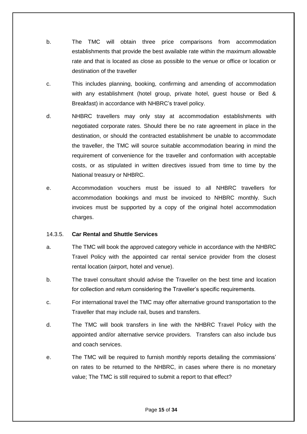- b. The TMC will obtain three price comparisons from accommodation establishments that provide the best available rate within the maximum allowable rate and that is located as close as possible to the venue or office or location or destination of the traveller
- c. This includes planning, booking, confirming and amending of accommodation with any establishment (hotel group, private hotel, guest house or Bed & Breakfast) in accordance with NHBRC's travel policy.
- d. NHBRC travellers may only stay at accommodation establishments with negotiated corporate rates. Should there be no rate agreement in place in the destination, or should the contracted establishment be unable to accommodate the traveller, the TMC will source suitable accommodation bearing in mind the requirement of convenience for the traveller and conformation with acceptable costs, or as stipulated in written directives issued from time to time by the National treasury or NHBRC.
- e. Accommodation vouchers must be issued to all NHBRC travellers for accommodation bookings and must be invoiced to NHBRC monthly. Such invoices must be supported by a copy of the original hotel accommodation charges.

### 14.3.5. **Car Rental and Shuttle Services**

- a. The TMC will book the approved category vehicle in accordance with the NHBRC Travel Policy with the appointed car rental service provider from the closest rental location (airport, hotel and venue).
- b. The travel consultant should advise the Traveller on the best time and location for collection and return considering the Traveller's specific requirements.
- c. For international travel the TMC may offer alternative ground transportation to the Traveller that may include rail, buses and transfers.
- d. The TMC will book transfers in line with the NHBRC Travel Policy with the appointed and/or alternative service providers. Transfers can also include bus and coach services.
- e. The TMC will be required to furnish monthly reports detailing the commissions' on rates to be returned to the NHBRC, in cases where there is no monetary value; The TMC is still required to submit a report to that effect?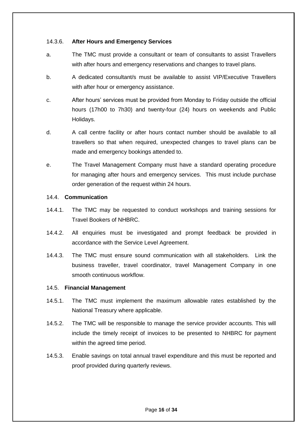## 14.3.6. **After Hours and Emergency Services**

- a. The TMC must provide a consultant or team of consultants to assist Travellers with after hours and emergency reservations and changes to travel plans.
- b. A dedicated consultant/s must be available to assist VIP/Executive Travellers with after hour or emergency assistance.
- c. After hours' services must be provided from Monday to Friday outside the official hours (17h00 to 7h30) and twenty-four (24) hours on weekends and Public Holidays.
- d. A call centre facility or after hours contact number should be available to all travellers so that when required, unexpected changes to travel plans can be made and emergency bookings attended to.
- e. The Travel Management Company must have a standard operating procedure for managing after hours and emergency services. This must include purchase order generation of the request within 24 hours.

## 14.4. **Communication**

- 14.4.1. The TMC may be requested to conduct workshops and training sessions for Travel Bookers of NHBRC.
- 14.4.2. All enquiries must be investigated and prompt feedback be provided in accordance with the Service Level Agreement.
- 14.4.3. The TMC must ensure sound communication with all stakeholders. Link the business traveller, travel coordinator, travel Management Company in one smooth continuous workflow.

## 14.5. **Financial Management**

- 14.5.1. The TMC must implement the maximum allowable rates established by the National Treasury where applicable.
- 14.5.2. The TMC will be responsible to manage the service provider accounts. This will include the timely receipt of invoices to be presented to NHBRC for payment within the agreed time period.
- 14.5.3. Enable savings on total annual travel expenditure and this must be reported and proof provided during quarterly reviews.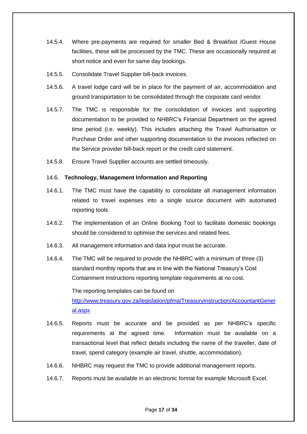- 14.5.4. Where pre-payments are required for smaller Bed & Breakfast /Guest House facilities, these will be processed by the TMC. These are occasionally required at short notice and even for same day bookings.
- 14.5.5. Consolidate Travel Supplier bill-back invoices.
- 14.5.6. A travel lodge card will be in place for the payment of air, accommodation and ground transportation to be consolidated through the corporate card vendor.
- 14.5.7. The TMC is responsible for the consolidation of invoices and supporting documentation to be provided to NHBRC's Financial Department on the agreed time period (i.e. weekly). This includes attaching the Travel Authorisation or Purchase Order and other supporting documentation to the invoices reflected on the Service provider bill-back report or the credit card statement.
- 14.5.8. Ensure Travel Supplier accounts are settled timeously.

## 14.6. **Technology, Management Information and Reporting**

- 14.6.1. The TMC must have the capability to consolidate all management information related to travel expenses into a single source document with automated reporting tools.
- 14.6.2. The implementation of an Online Booking Tool to facilitate domestic bookings should be considered to optimise the services and related fees.
- 14.6.3. All management information and data input must be accurate.
- 14.6.4. The TMC will be required to provide the NHBRC with a minimum of three (3) standard monthly reports that are in line with the National Treasury's Cost Containment Instructions reporting template requirements at no cost.

The reporting templates can be found on [http://www.treasury.gov.za/legislation/pfma/TreasuryInstruction/AccountantGener](http://www.treasury.gov.za/legislation/pfma/TreasuryInstruction/AccountantGeneral.aspx) [al.aspx](http://www.treasury.gov.za/legislation/pfma/TreasuryInstruction/AccountantGeneral.aspx)

- 14.6.5. Reports must be accurate and be provided as per NHBRC's specific requirements at the agreed time. Information must be available on a transactional level that reflect details including the name of the traveller, date of travel, spend category (example air travel, shuttle, accommodation).
- 14.6.6. NHBRC may request the TMC to provide additional management reports.
- 14.6.7. Reports must be available in an electronic format for example Microsoft Excel.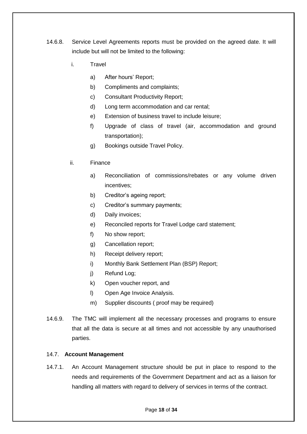- 14.6.8. Service Level Agreements reports must be provided on the agreed date. It will include but will not be limited to the following:
	- i. Travel
		- a) After hours' Report;
		- b) Compliments and complaints;
		- c) Consultant Productivity Report;
		- d) Long term accommodation and car rental;
		- e) Extension of business travel to include leisure;
		- f) Upgrade of class of travel (air, accommodation and ground transportation);
		- g) Bookings outside Travel Policy.
	- ii. Finance
		- a) Reconciliation of commissions/rebates or any volume driven incentives;
		- b) Creditor's ageing report;
		- c) Creditor's summary payments;
		- d) Daily invoices;
		- e) Reconciled reports for Travel Lodge card statement;
		- f) No show report;
		- g) Cancellation report;
		- h) Receipt delivery report;
		- i) Monthly Bank Settlement Plan (BSP) Report;
		- j) Refund Log;
		- k) Open voucher report, and
		- l) Open Age Invoice Analysis.
		- m) Supplier discounts ( proof may be required)
- 14.6.9. The TMC will implement all the necessary processes and programs to ensure that all the data is secure at all times and not accessible by any unauthorised parties.

# 14.7. **Account Management**

14.7.1. An Account Management structure should be put in place to respond to the needs and requirements of the Government Department and act as a liaison for handling all matters with regard to delivery of services in terms of the contract.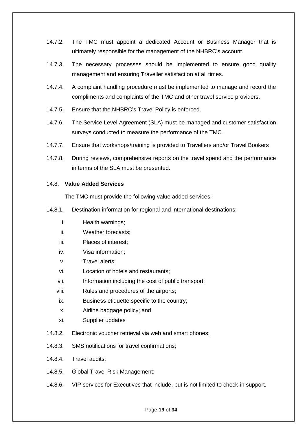- 14.7.2. The TMC must appoint a dedicated Account or Business Manager that is ultimately responsible for the management of the NHBRC's account.
- 14.7.3. The necessary processes should be implemented to ensure good quality management and ensuring Traveller satisfaction at all times.
- 14.7.4. A complaint handling procedure must be implemented to manage and record the compliments and complaints of the TMC and other travel service providers.
- 14.7.5. Ensure that the NHBRC's Travel Policy is enforced.
- 14.7.6. The Service Level Agreement (SLA) must be managed and customer satisfaction surveys conducted to measure the performance of the TMC.
- 14.7.7. Ensure that workshops/training is provided to Travellers and/or Travel Bookers
- 14.7.8. During reviews, comprehensive reports on the travel spend and the performance in terms of the SLA must be presented.

## 14.8. **Value Added Services**

The TMC must provide the following value added services:

- 14.8.1. Destination information for regional and international destinations:
	- i. Health warnings;
	- ii. Weather forecasts;
	- iii. Places of interest;
	- iv. Visa information;
	- v. Travel alerts;
	- vi. Location of hotels and restaurants;
	- vii. Information including the cost of public transport;
	- viii. Rules and procedures of the airports;
	- ix. Business etiquette specific to the country;
	- x. Airline baggage policy; and
	- xi. Supplier updates
- 14.8.2. Electronic voucher retrieval via web and smart phones;
- 14.8.3. SMS notifications for travel confirmations;
- 14.8.4. Travel audits;
- 14.8.5. Global Travel Risk Management;
- 14.8.6. VIP services for Executives that include, but is not limited to check-in support.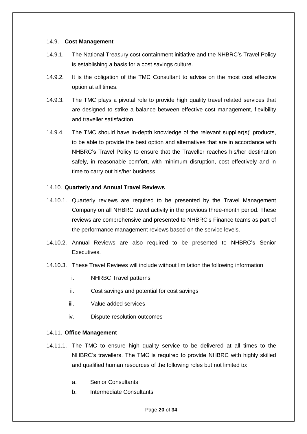### 14.9. **Cost Management**

- 14.9.1. The National Treasury cost containment initiative and the NHBRC's Travel Policy is establishing a basis for a cost savings culture.
- 14.9.2. It is the obligation of the TMC Consultant to advise on the most cost effective option at all times.
- 14.9.3. The TMC plays a pivotal role to provide high quality travel related services that are designed to strike a balance between effective cost management, flexibility and traveller satisfaction.
- 14.9.4. The TMC should have in-depth knowledge of the relevant supplier(s)' products, to be able to provide the best option and alternatives that are in accordance with NHBRC's Travel Policy to ensure that the Traveller reaches his/her destination safely, in reasonable comfort, with minimum disruption, cost effectively and in time to carry out his/her business.

## 14.10. **Quarterly and Annual Travel Reviews**

- 14.10.1. Quarterly reviews are required to be presented by the Travel Management Company on all NHBRC travel activity in the previous three-month period. These reviews are comprehensive and presented to NHBRC's Finance teams as part of the performance management reviews based on the service levels.
- 14.10.2. Annual Reviews are also required to be presented to NHBRC's Senior Executives.
- 14.10.3. These Travel Reviews will include without limitation the following information
	- i. NHRBC Travel patterns
	- ii. Cost savings and potential for cost savings
	- iii. Value added services
	- iv. Dispute resolution outcomes

#### 14.11. **Office Management**

- 14.11.1. The TMC to ensure high quality service to be delivered at all times to the NHBRC's travellers. The TMC is required to provide NHBRC with highly skilled and qualified human resources of the following roles but not limited to:
	- a. Senior Consultants
	- b. Intermediate Consultants

Page **20** of **34**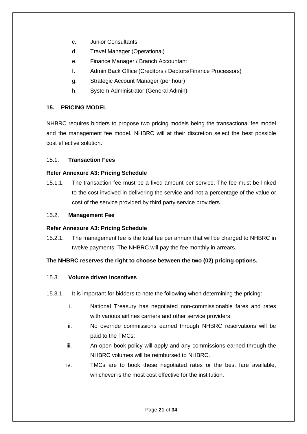- c. Junior Consultants
- d. Travel Manager (Operational)
- e. Finance Manager / Branch Accountant
- f. Admin Back Office (Creditors / Debtors/Finance Processors)
- g. Strategic Account Manager (per hour)
- h. System Administrator (General Admin)

# <span id="page-20-0"></span>**15. PRICING MODEL**

NHBRC requires bidders to propose two pricing models being the transactional fee model and the management fee model. NHBRC will at their discretion select the best possible cost effective solution.

## 15.1. **Transaction Fees**

## **Refer Annexure A3: Pricing Schedule**

15.1.1. The transaction fee must be a fixed amount per service. The fee must be linked to the cost involved in delivering the service and not a percentage of the value or cost of the service provided by third party service providers.

## 15.2. **Management Fee**

## **Refer Annexure A3: Pricing Schedule**

15.2.1. The management fee is the total fee per annum that will be charged to NHBRC in twelve payments. The NHBRC will pay the fee monthly in arrears.

# **The NHBRC reserves the right to choose between the two (02) pricing options.**

## 15.3. **Volume driven incentives**

- 15.3.1. It is important for bidders to note the following when determining the pricing:
	- i. National Treasury has negotiated non-commissionable fares and rates with various airlines carriers and other service providers;
	- ii. No override commissions earned through NHBRC reservations will be paid to the TMCs;
	- iii. An open book policy will apply and any commissions earned through the NHBRC volumes will be reimbursed to NHBRC.
	- iv. TMCs are to book these negotiated rates or the best fare available, whichever is the most cost effective for the institution.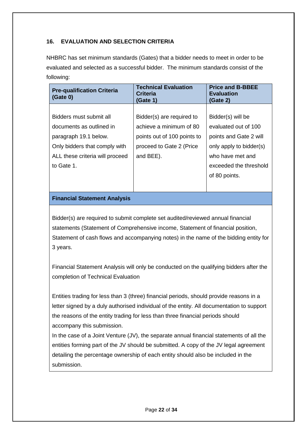# <span id="page-21-0"></span>**16. EVALUATION AND SELECTION CRITERIA**

NHBRC has set minimum standards (Gates) that a bidder needs to meet in order to be evaluated and selected as a successful bidder. The minimum standards consist of the following:

| <b>Pre-qualification Criteria</b><br>(Gate 0) | <b>Technical Evaluation</b><br><b>Criteria</b><br>(Gate 1) | <b>Price and B-BBEE</b><br><b>Evaluation</b><br>(Gate 2) |
|-----------------------------------------------|------------------------------------------------------------|----------------------------------------------------------|
|                                               |                                                            |                                                          |
| Bidders must submit all                       | Bidder(s) are required to                                  | Bidder(s) will be                                        |
| documents as outlined in                      | achieve a minimum of 80                                    | evaluated out of 100                                     |
| paragraph 19.1 below.                         | points out of 100 points to                                | points and Gate 2 will                                   |
| Only bidders that comply with                 | proceed to Gate 2 (Price                                   | only apply to bidder(s)                                  |
| ALL these criteria will proceed               | and BEE).                                                  | who have met and                                         |
| to Gate 1.                                    |                                                            | exceeded the threshold                                   |
|                                               |                                                            | of 80 points.                                            |
|                                               |                                                            |                                                          |

# **Financial Statement Analysis**

Bidder(s) are required to submit complete set audited/reviewed annual financial statements (Statement of Comprehensive income, Statement of financial position, Statement of cash flows and accompanying notes) in the name of the bidding entity for 3 years.

Financial Statement Analysis will only be conducted on the qualifying bidders after the completion of Technical Evaluation

Entities trading for less than 3 (three) financial periods, should provide reasons in a letter signed by a duly authorised individual of the entity. All documentation to support the reasons of the entity trading for less than three financial periods should accompany this submission.

In the case of a Joint Venture (JV), the separate annual financial statements of all the entities forming part of the JV should be submitted. A copy of the JV legal agreement detailing the percentage ownership of each entity should also be included in the submission.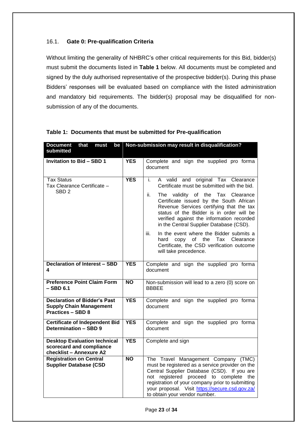# 16.1. **Gate 0: Pre-qualification Criteria**

Without limiting the generality of NHBRC's other critical requirements for this Bid, bidder(s) must submit the documents listed in **Table 1** below. All documents must be completed and signed by the duly authorised representative of the prospective bidder(s). During this phase Bidders' responses will be evaluated based on compliance with the listed administration and mandatory bid requirements. The bidder(s) proposal may be disqualified for nonsubmission of any of the documents.

| Document that<br>must<br>be<br>submitted                                                          | Non-submission may result in disqualification? |                                                                                                                                                                                                                                                                                                                                                                                                                                                                                                                                    |  |
|---------------------------------------------------------------------------------------------------|------------------------------------------------|------------------------------------------------------------------------------------------------------------------------------------------------------------------------------------------------------------------------------------------------------------------------------------------------------------------------------------------------------------------------------------------------------------------------------------------------------------------------------------------------------------------------------------|--|
|                                                                                                   |                                                |                                                                                                                                                                                                                                                                                                                                                                                                                                                                                                                                    |  |
| <b>Invitation to Bid - SBD 1</b>                                                                  | <b>YES</b>                                     | Complete and sign the supplied pro forma<br>document                                                                                                                                                                                                                                                                                                                                                                                                                                                                               |  |
| <b>Tax Status</b><br>Tax Clearance Certificate -<br>SBD <sub>2</sub>                              | <b>YES</b>                                     | A valid and original Tax Clearance<br>i.<br>Certificate must be submitted with the bid.<br>The validity of the Tax Clearance<br>ii.<br>Certificate issued by the South African<br>Revenue Services certifying that the tax<br>status of the Bidder is in order will be<br>verified against the information recorded<br>in the Central Supplier Database (CSD).<br>In the event where the Bidder submits a<br>iii.<br>of the<br>Tax Clearance<br>hard<br>copy<br>Certificate, the CSD verification outcome<br>will take precedence. |  |
| <b>Declaration of Interest - SBD</b><br>4                                                         | <b>YES</b>                                     | Complete and sign the supplied pro forma<br>document                                                                                                                                                                                                                                                                                                                                                                                                                                                                               |  |
| <b>Preference Point Claim Form</b><br>– SBD 6.1                                                   | $\overline{NO}$                                | Non-submission will lead to a zero (0) score on<br><b>BBBEE</b>                                                                                                                                                                                                                                                                                                                                                                                                                                                                    |  |
| <b>Declaration of Bidder's Past</b><br><b>Supply Chain Management</b><br><b>Practices - SBD 8</b> | <b>YES</b>                                     | Complete and sign the supplied pro forma<br>document                                                                                                                                                                                                                                                                                                                                                                                                                                                                               |  |
| <b>Certificate of Independent Bid</b><br><b>Determination - SBD 9</b>                             | <b>YES</b>                                     | Complete and sign the supplied pro forma<br>document                                                                                                                                                                                                                                                                                                                                                                                                                                                                               |  |
| <b>Desktop Evaluation technical</b><br>scorecard and compliance<br>checklist - Annexure A2        | <b>YES</b>                                     | Complete and sign                                                                                                                                                                                                                                                                                                                                                                                                                                                                                                                  |  |
| <b>Registration on Central</b><br><b>Supplier Database (CSD</b>                                   | $\overline{NO}$                                | The Travel Management Company (TMC)<br>must be registered as a service provider on the<br>Central Supplier Database (CSD). If you are<br>not registered proceed to complete the<br>registration of your company prior to submitting<br>your proposal. Visit https://secure.csd.gov.za/<br>to obtain your vendor number.                                                                                                                                                                                                            |  |

| Table 1: Documents that must be submitted for Pre-qualification |  |  |  |  |  |
|-----------------------------------------------------------------|--|--|--|--|--|
|-----------------------------------------------------------------|--|--|--|--|--|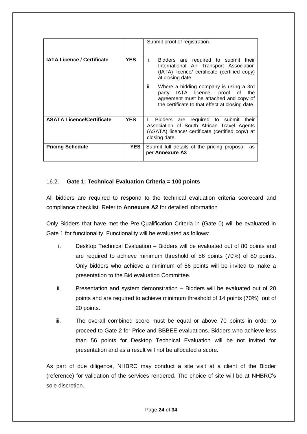|                                   |            | Submit proof of registration.                                                                                                                                                  |
|-----------------------------------|------------|--------------------------------------------------------------------------------------------------------------------------------------------------------------------------------|
| <b>IATA Licence / Certificate</b> | <b>YES</b> | Bidders are required to submit their<br>Τ.<br>International Air Transport Association<br>(IATA) licence/ certificate (certified copy)<br>at closing date.                      |
|                                   |            | ii.<br>Where a bidding company is using a 3rd<br>party IATA licence, proof of the<br>agreement must be attached and copy of<br>the certificate to that effect at closing date. |
| <b>ASATA Licence/Certificate</b>  | <b>YES</b> | Bidders are required to submit their<br>L.<br>Association of South African Travel Agents<br>(ASATA) licence/ certificate (certified copy) at<br>closing date.                  |
| <b>Pricing Schedule</b>           | <b>YES</b> | Submit full details of the pricing proposal<br>as<br>per Annexure A3                                                                                                           |

# 16.2. **Gate 1: Technical Evaluation Criteria = 100 points**

All bidders are required to respond to the technical evaluation criteria scorecard and compliance checklist. Refer to **Annexure A2** for detailed information

Only Bidders that have met the Pre-Qualification Criteria in (Gate 0) will be evaluated in Gate 1 for functionality. Functionality will be evaluated as follows:

- i. Desktop Technical Evaluation Bidders will be evaluated out of 80 points and are required to achieve minimum threshold of 56 points (70%) of 80 points. Only bidders who achieve a minimum of 56 points will be invited to make a presentation to the Bid evaluation Committee.
- ii. Presentation and system demonstration Bidders will be evaluated out of 20 points and are required to achieve minimum threshold of 14 points (70%) out of 20 points.
- iii. The overall combined score must be equal or above 70 points in order to proceed to Gate 2 for Price and BBBEE evaluations. Bidders who achieve less than 56 points for Desktop Technical Evaluation will be not invited for presentation and as a result will not be allocated a score.

As part of due diligence, NHBRC may conduct a site visit at a client of the Bidder (reference) for validation of the services rendered. The choice of site will be at NHBRC's sole discretion.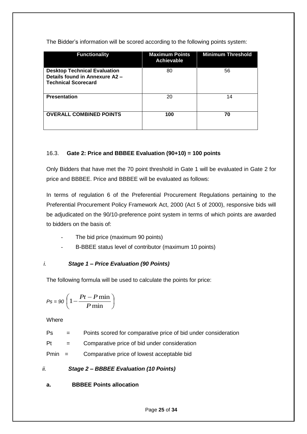The Bidder's information will be scored according to the following points system:

| <b>Functionality</b>                                                                                | <b>Maximum Points</b><br><b>Achievable</b> | <b>Minimum Threshold</b> |
|-----------------------------------------------------------------------------------------------------|--------------------------------------------|--------------------------|
| <b>Desktop Technical Evaluation</b><br>Details found in Annexure A2 -<br><b>Technical Scorecard</b> | 80                                         | 56                       |
| <b>Presentation</b>                                                                                 | 20                                         | 14                       |
| <b>OVERALL COMBINED POINTS</b>                                                                      | 100                                        | 70                       |

# 16.3. **Gate 2: Price and BBBEE Evaluation (90+10) = 100 points**

Only Bidders that have met the 70 point threshold in Gate 1 will be evaluated in Gate 2 for price and BBBEE. Price and BBBEE will be evaluated as follows:

In terms of regulation 6 of the Preferential Procurement Regulations pertaining to the Preferential Procurement Policy Framework Act, 2000 (Act 5 of 2000), responsive bids will be adjudicated on the 90/10-preference point system in terms of which points are awarded to bidders on the basis of:

- The bid price (maximum 90 points)
- B-BBEE status level of contributor (maximum 10 points)

# *i. Stage 1 – Price Evaluation (90 Points)*

The following formula will be used to calculate the points for price:

$$
Ps = 90 \left( 1 - \frac{Pt - P \min P}{ \min} \right)
$$

**Where** 

Ps = Points scored for comparative price of bid under consideration

 $Pt =$  Comparative price of bid under consideration

Pmin = Comparative price of lowest acceptable bid

*ii. Stage 2 – BBBEE Evaluation (10 Points)*

**a. BBBEE Points allocation**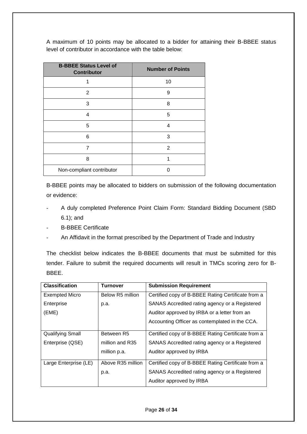A maximum of 10 points may be allocated to a bidder for attaining their B-BBEE status level of contributor in accordance with the table below:

| <b>B-BBEE Status Level of</b><br><b>Contributor</b> | <b>Number of Points</b> |
|-----------------------------------------------------|-------------------------|
|                                                     | 10                      |
| 2                                                   | 9                       |
| 3                                                   | 8                       |
| 4                                                   | 5                       |
| 5                                                   | 4                       |
| 6                                                   | 3                       |
| 7                                                   | 2                       |
| 8                                                   | 1                       |
| Non-compliant contributor                           |                         |

B-BBEE points may be allocated to bidders on submission of the following documentation or evidence:

- A duly completed Preference Point Claim Form: Standard Bidding Document (SBD 6.1); and
- B-BBEE Certificate
- An Affidavit in the format prescribed by the Department of Trade and Industry

The checklist below indicates the B-BBEE documents that must be submitted for this tender. Failure to submit the required documents will result in TMCs scoring zero for B-BBEE.

| <b>Classification</b>   | <b>Turnover</b>   | <b>Submission Requirement</b>                      |
|-------------------------|-------------------|----------------------------------------------------|
| <b>Exempted Micro</b>   | Below R5 million  | Certified copy of B-BBEE Rating Certificate from a |
| Enterprise              | p.a.              | SANAS Accredited rating agency or a Registered     |
| (EME)                   |                   | Auditor approved by IRBA or a letter from an       |
|                         |                   | Accounting Officer as contemplated in the CCA.     |
| <b>Qualifying Small</b> | Between R5        | Certified copy of B-BBEE Rating Certificate from a |
| Enterprise (QSE)        | million and R35   | SANAS Accredited rating agency or a Registered     |
|                         | million p.a.      | Auditor approved by IRBA                           |
| Large Enterprise (LE)   | Above R35 million | Certified copy of B-BBEE Rating Certificate from a |
|                         | p.a.              | SANAS Accredited rating agency or a Registered     |
|                         |                   | Auditor approved by IRBA                           |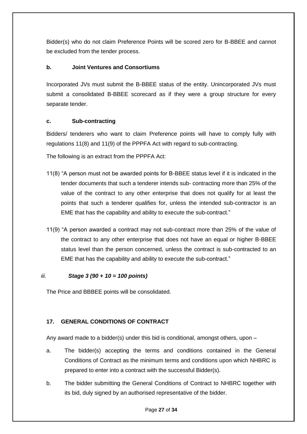Bidder(s) who do not claim Preference Points will be scored zero for B-BBEE and cannot be excluded from the tender process.

# **b. Joint Ventures and Consortiums**

Incorporated JVs must submit the B-BBEE status of the entity. Unincorporated JVs must submit a consolidated B-BBEE scorecard as if they were a group structure for every separate tender.

## **c. Sub-contracting**

Bidders/ tenderers who want to claim Preference points will have to comply fully with regulations 11(8) and 11(9) of the PPPFA Act with regard to sub-contracting.

The following is an extract from the PPPFA Act:

- 11(8) "A person must not be awarded points for B-BBEE status level if it is indicated in the tender documents that such a tenderer intends sub- contracting more than 25% of the value of the contract to any other enterprise that does not qualify for at least the points that such a tenderer qualifies for, unless the intended sub-contractor is an EME that has the capability and ability to execute the sub-contract."
- 11(9) "A person awarded a contract may not sub-contract more than 25% of the value of the contract to any other enterprise that does not have an equal or higher B-BBEE status level than the person concerned, unless the contract is sub-contracted to an EME that has the capability and ability to execute the sub-contract."

## *iii. Stage 3 (90 + 10 = 100 points)*

The Price and BBBEE points will be consolidated.

# <span id="page-26-0"></span>**17. GENERAL CONDITIONS OF CONTRACT**

Any award made to a bidder(s) under this bid is conditional, amongst others, upon –

- a. The bidder(s) accepting the terms and conditions contained in the General Conditions of Contract as the minimum terms and conditions upon which NHBRC is prepared to enter into a contract with the successful Bidder(s).
- b. The bidder submitting the General Conditions of Contract to NHBRC together with its bid, duly signed by an authorised representative of the bidder.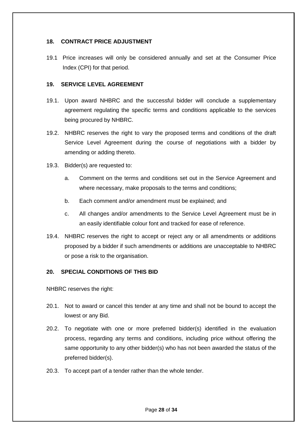# <span id="page-27-0"></span>**18. CONTRACT PRICE ADJUSTMENT**

19.1 Price increases will only be considered annually and set at the Consumer Price Index (CPI) for that period.

## <span id="page-27-1"></span>**19. SERVICE LEVEL AGREEMENT**

- 19.1. Upon award NHBRC and the successful bidder will conclude a supplementary agreement regulating the specific terms and conditions applicable to the services being procured by NHBRC.
- 19.2. NHBRC reserves the right to vary the proposed terms and conditions of the draft Service Level Agreement during the course of negotiations with a bidder by amending or adding thereto.
- 19.3. Bidder(s) are requested to:
	- a. Comment on the terms and conditions set out in the Service Agreement and where necessary, make proposals to the terms and conditions;
	- b. Each comment and/or amendment must be explained; and
	- c. All changes and/or amendments to the Service Level Agreement must be in an easily identifiable colour font and tracked for ease of reference.
- 19.4. NHBRC reserves the right to accept or reject any or all amendments or additions proposed by a bidder if such amendments or additions are unacceptable to NHBRC or pose a risk to the organisation.

## <span id="page-27-2"></span>**20. SPECIAL CONDITIONS OF THIS BID**

NHBRC reserves the right:

- 20.1. Not to award or cancel this tender at any time and shall not be bound to accept the lowest or any Bid.
- 20.2. To negotiate with one or more preferred bidder(s) identified in the evaluation process, regarding any terms and conditions, including price without offering the same opportunity to any other bidder(s) who has not been awarded the status of the preferred bidder(s).
- 20.3. To accept part of a tender rather than the whole tender.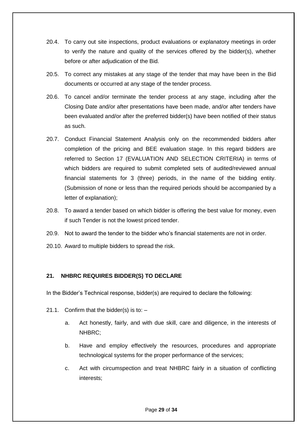- 20.4. To carry out site inspections, product evaluations or explanatory meetings in order to verify the nature and quality of the services offered by the bidder(s), whether before or after adjudication of the Bid.
- 20.5. To correct any mistakes at any stage of the tender that may have been in the Bid documents or occurred at any stage of the tender process.
- 20.6. To cancel and/or terminate the tender process at any stage, including after the Closing Date and/or after presentations have been made, and/or after tenders have been evaluated and/or after the preferred bidder(s) have been notified of their status as such.
- 20.7. Conduct Financial Statement Analysis only on the recommended bidders after completion of the pricing and BEE evaluation stage. In this regard bidders are referred to Section 17 (EVALUATION AND SELECTION CRITERIA) in terms of which bidders are required to submit completed sets of audited/reviewed annual financial statements for 3 (three) periods, in the name of the bidding entity. (Submission of none or less than the required periods should be accompanied by a letter of explanation);
- 20.8. To award a tender based on which bidder is offering the best value for money, even if such Tender is not the lowest priced tender.
- 20.9. Not to award the tender to the bidder who's financial statements are not in order.
- 20.10. Award to multiple bidders to spread the risk.

# <span id="page-28-0"></span>**21. NHBRC REQUIRES BIDDER(S) TO DECLARE**

In the Bidder's Technical response, bidder(s) are required to declare the following:

- 21.1. Confirm that the bidder(s) is to:  $$ 
	- a. Act honestly, fairly, and with due skill, care and diligence, in the interests of NHBRC;
	- b. Have and employ effectively the resources, procedures and appropriate technological systems for the proper performance of the services;
	- c. Act with circumspection and treat NHBRC fairly in a situation of conflicting interests;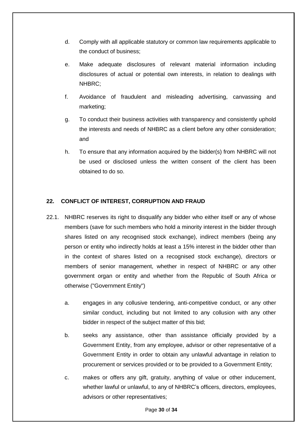- d. Comply with all applicable statutory or common law requirements applicable to the conduct of business;
- e. Make adequate disclosures of relevant material information including disclosures of actual or potential own interests, in relation to dealings with NHBRC;
- f. Avoidance of fraudulent and misleading advertising, canvassing and marketing;
- g. To conduct their business activities with transparency and consistently uphold the interests and needs of NHBRC as a client before any other consideration; and
- h. To ensure that any information acquired by the bidder(s) from NHBRC will not be used or disclosed unless the written consent of the client has been obtained to do so.

# <span id="page-29-0"></span>**22. CONFLICT OF INTEREST, CORRUPTION AND FRAUD**

- 22.1. NHBRC reserves its right to disqualify any bidder who either itself or any of whose members (save for such members who hold a minority interest in the bidder through shares listed on any recognised stock exchange), indirect members (being any person or entity who indirectly holds at least a 15% interest in the bidder other than in the context of shares listed on a recognised stock exchange), directors or members of senior management, whether in respect of NHBRC or any other government organ or entity and whether from the Republic of South Africa or otherwise ("Government Entity")
	- a. engages in any collusive tendering, anti-competitive conduct, or any other similar conduct, including but not limited to any collusion with any other bidder in respect of the subject matter of this bid;
	- b. seeks any assistance, other than assistance officially provided by a Government Entity, from any employee, advisor or other representative of a Government Entity in order to obtain any unlawful advantage in relation to procurement or services provided or to be provided to a Government Entity;
	- c. makes or offers any gift, gratuity, anything of value or other inducement, whether lawful or unlawful, to any of NHBRC's officers, directors, employees, advisors or other representatives;

Page **30** of **34**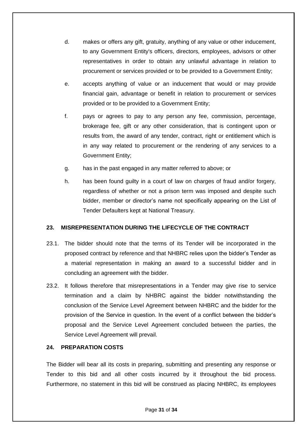- d. makes or offers any gift, gratuity, anything of any value or other inducement, to any Government Entity's officers, directors, employees, advisors or other representatives in order to obtain any unlawful advantage in relation to procurement or services provided or to be provided to a Government Entity;
- e. accepts anything of value or an inducement that would or may provide financial gain, advantage or benefit in relation to procurement or services provided or to be provided to a Government Entity;
- f. pays or agrees to pay to any person any fee, commission, percentage, brokerage fee, gift or any other consideration, that is contingent upon or results from, the award of any tender, contract, right or entitlement which is in any way related to procurement or the rendering of any services to a Government Entity;
- g. has in the past engaged in any matter referred to above; or
- h. has been found guilty in a court of law on charges of fraud and/or forgery, regardless of whether or not a prison term was imposed and despite such bidder, member or director's name not specifically appearing on the List of Tender Defaulters kept at National Treasury.

# <span id="page-30-0"></span>**23. MISREPRESENTATION DURING THE LIFECYCLE OF THE CONTRACT**

- 23.1. The bidder should note that the terms of its Tender will be incorporated in the proposed contract by reference and that NHBRC relies upon the bidder's Tender as a material representation in making an award to a successful bidder and in concluding an agreement with the bidder.
- 23.2. It follows therefore that misrepresentations in a Tender may give rise to service termination and a claim by NHBRC against the bidder notwithstanding the conclusion of the Service Level Agreement between NHBRC and the bidder for the provision of the Service in question. In the event of a conflict between the bidder's proposal and the Service Level Agreement concluded between the parties, the Service Level Agreement will prevail.

## <span id="page-30-1"></span>**24. PREPARATION COSTS**

The Bidder will bear all its costs in preparing, submitting and presenting any response or Tender to this bid and all other costs incurred by it throughout the bid process. Furthermore, no statement in this bid will be construed as placing NHBRC, its employees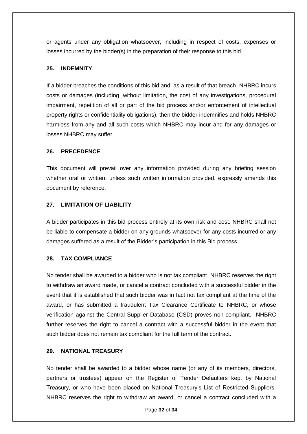or agents under any obligation whatsoever, including in respect of costs, expenses or losses incurred by the bidder(s) in the preparation of their response to this bid.

# <span id="page-31-0"></span>**25. INDEMNITY**

If a bidder breaches the conditions of this bid and, as a result of that breach, NHBRC incurs costs or damages (including, without limitation, the cost of any investigations, procedural impairment, repetition of all or part of the bid process and/or enforcement of intellectual property rights or confidentiality obligations), then the bidder indemnifies and holds NHBRC harmless from any and all such costs which NHBRC may incur and for any damages or losses NHBRC may suffer.

## <span id="page-31-1"></span>**26. PRECEDENCE**

This document will prevail over any information provided during any briefing session whether oral or written, unless such written information provided, expressly amends this document by reference.

# <span id="page-31-2"></span>**27. LIMITATION OF LIABILITY**

A bidder participates in this bid process entirely at its own risk and cost. NHBRC shall not be liable to compensate a bidder on any grounds whatsoever for any costs incurred or any damages suffered as a result of the Bidder's participation in this Bid process.

# <span id="page-31-3"></span>**28. TAX COMPLIANCE**

No tender shall be awarded to a bidder who is not tax compliant. NHBRC reserves the right to withdraw an award made, or cancel a contract concluded with a successful bidder in the event that it is established that such bidder was in fact not tax compliant at the time of the award, or has submitted a fraudulent Tax Clearance Certificate to NHBRC, or whose verification against the Central Supplier Database (CSD) proves non-compliant. NHBRC further reserves the right to cancel a contract with a successful bidder in the event that such bidder does not remain tax compliant for the full term of the contract.

## <span id="page-31-4"></span>**29. NATIONAL TREASURY**

No tender shall be awarded to a bidder whose name (or any of its members, directors, partners or trustees) appear on the Register of Tender Defaulters kept by National Treasury, or who have been placed on National Treasury's List of Restricted Suppliers. NHBRC reserves the right to withdraw an award, or cancel a contract concluded with a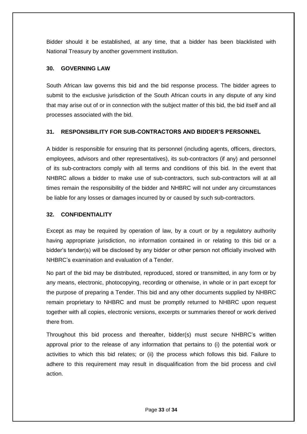Bidder should it be established, at any time, that a bidder has been blacklisted with National Treasury by another government institution.

# <span id="page-32-0"></span>**30. GOVERNING LAW**

South African law governs this bid and the bid response process. The bidder agrees to submit to the exclusive jurisdiction of the South African courts in any dispute of any kind that may arise out of or in connection with the subject matter of this bid, the bid itself and all processes associated with the bid.

# <span id="page-32-1"></span>**31. RESPONSIBILITY FOR SUB-CONTRACTORS AND BIDDER'S PERSONNEL**

A bidder is responsible for ensuring that its personnel (including agents, officers, directors, employees, advisors and other representatives), its sub-contractors (if any) and personnel of its sub-contractors comply with all terms and conditions of this bid. In the event that NHBRC allows a bidder to make use of sub-contractors, such sub-contractors will at all times remain the responsibility of the bidder and NHBRC will not under any circumstances be liable for any losses or damages incurred by or caused by such sub-contractors.

# <span id="page-32-2"></span>**32. CONFIDENTIALITY**

Except as may be required by operation of law, by a court or by a regulatory authority having appropriate jurisdiction, no information contained in or relating to this bid or a bidder's tender(s) will be disclosed by any bidder or other person not officially involved with NHBRC's examination and evaluation of a Tender.

No part of the bid may be distributed, reproduced, stored or transmitted, in any form or by any means, electronic, photocopying, recording or otherwise, in whole or in part except for the purpose of preparing a Tender. This bid and any other documents supplied by NHBRC remain proprietary to NHBRC and must be promptly returned to NHBRC upon request together with all copies, electronic versions, excerpts or summaries thereof or work derived there from.

Throughout this bid process and thereafter, bidder(s) must secure NHBRC's written approval prior to the release of any information that pertains to (i) the potential work or activities to which this bid relates; or (ii) the process which follows this bid. Failure to adhere to this requirement may result in disqualification from the bid process and civil action.